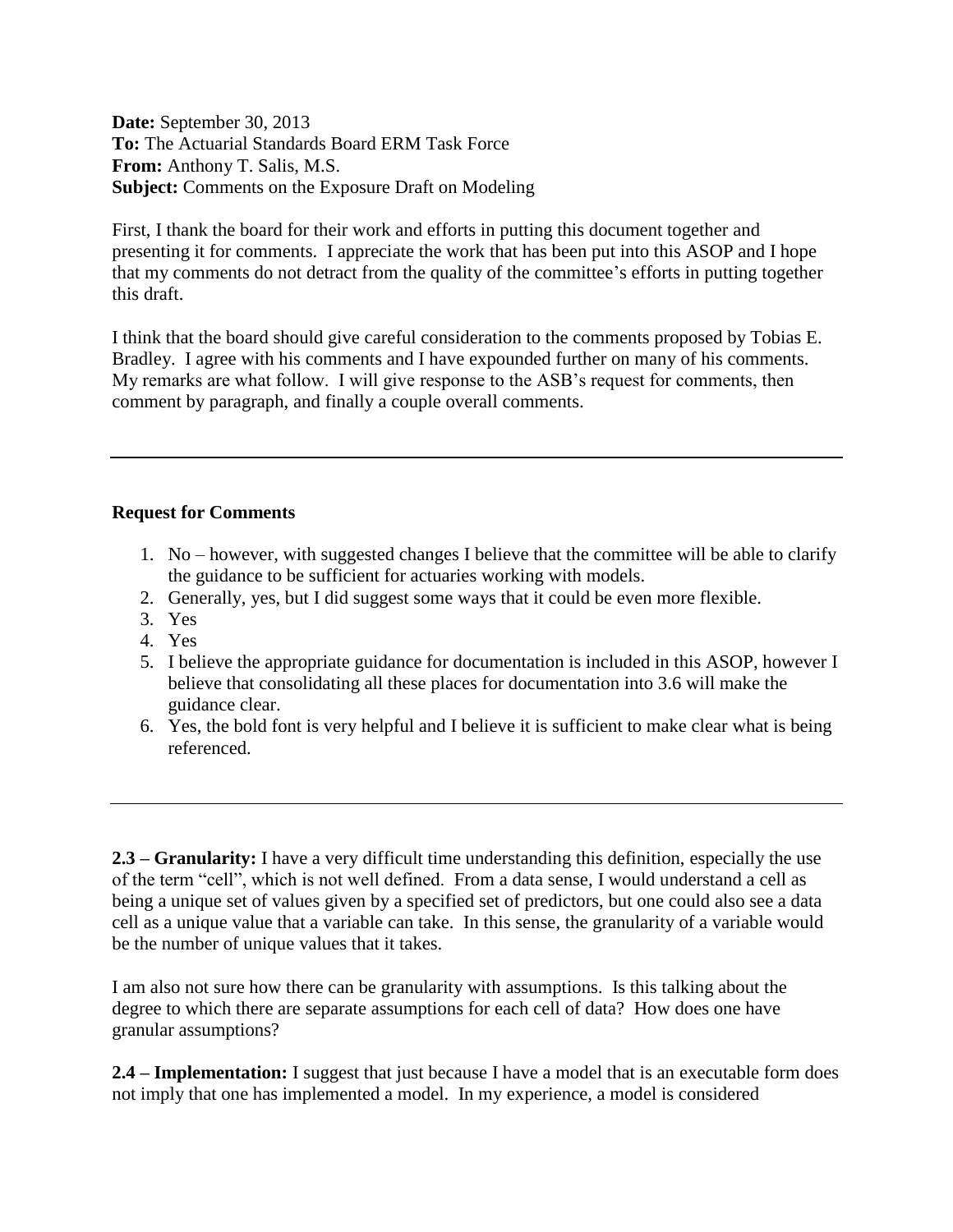**Date:** September 30, 2013 **To:** The Actuarial Standards Board ERM Task Force **From:** Anthony T. Salis, M.S. **Subject:** Comments on the Exposure Draft on Modeling

First, I thank the board for their work and efforts in putting this document together and presenting it for comments. I appreciate the work that has been put into this ASOP and I hope that my comments do not detract from the quality of the committee's efforts in putting together this draft.

I think that the board should give careful consideration to the comments proposed by Tobias E. Bradley. I agree with his comments and I have expounded further on many of his comments. My remarks are what follow. I will give response to the ASB's request for comments, then comment by paragraph, and finally a couple overall comments.

## **Request for Comments**

- 1. No however, with suggested changes I believe that the committee will be able to clarify the guidance to be sufficient for actuaries working with models.
- 2. Generally, yes, but I did suggest some ways that it could be even more flexible.
- 3. Yes
- 4. Yes
- 5. I believe the appropriate guidance for documentation is included in this ASOP, however I believe that consolidating all these places for documentation into 3.6 will make the guidance clear.
- 6. Yes, the bold font is very helpful and I believe it is sufficient to make clear what is being referenced.

**2.3 – Granularity:** I have a very difficult time understanding this definition, especially the use of the term "cell", which is not well defined. From a data sense, I would understand a cell as being a unique set of values given by a specified set of predictors, but one could also see a data cell as a unique value that a variable can take. In this sense, the granularity of a variable would be the number of unique values that it takes.

I am also not sure how there can be granularity with assumptions. Is this talking about the degree to which there are separate assumptions for each cell of data? How does one have granular assumptions?

**2.4 – Implementation:** I suggest that just because I have a model that is an executable form does not imply that one has implemented a model. In my experience, a model is considered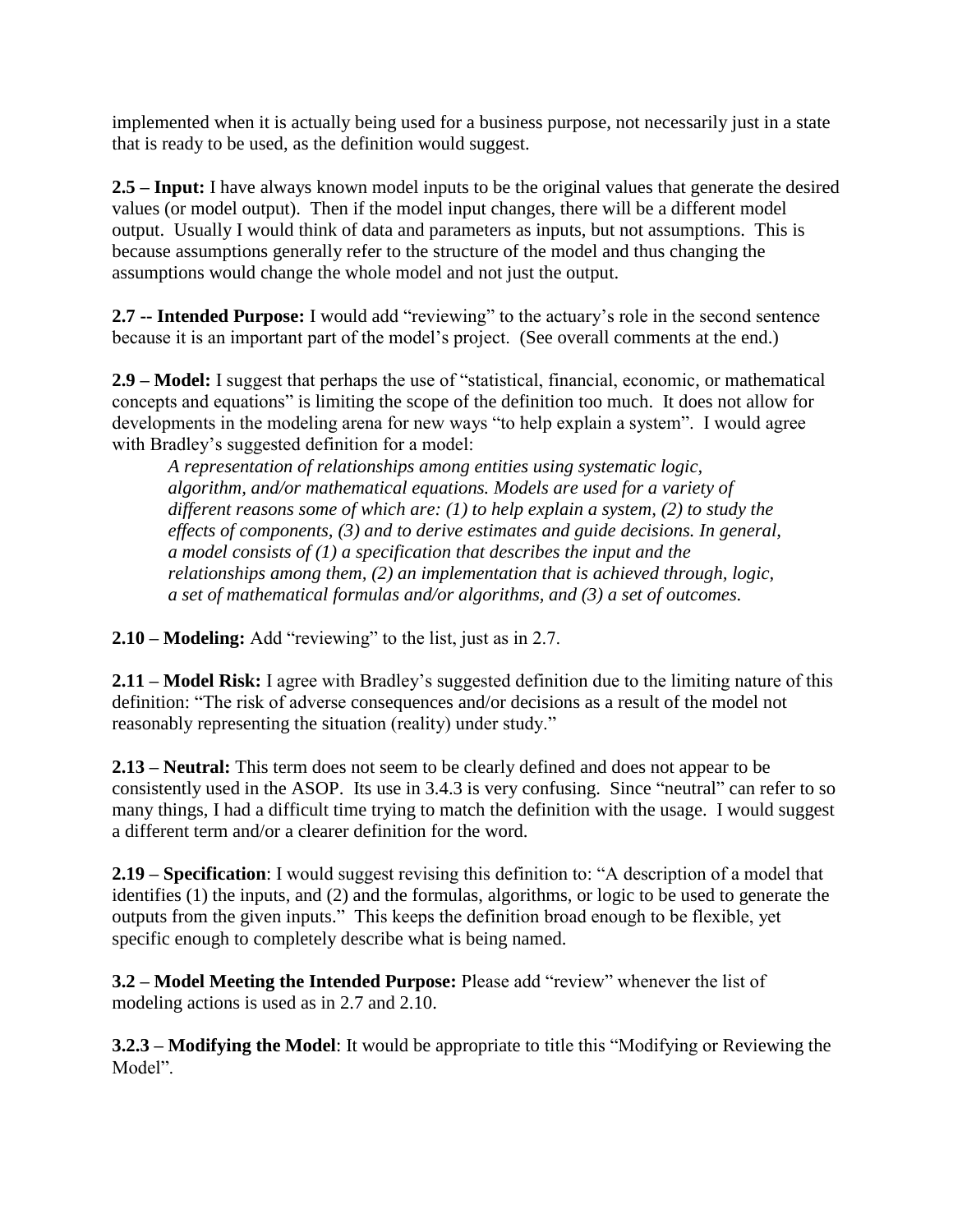implemented when it is actually being used for a business purpose, not necessarily just in a state that is ready to be used, as the definition would suggest.

**2.5 – Input:** I have always known model inputs to be the original values that generate the desired values (or model output). Then if the model input changes, there will be a different model output. Usually I would think of data and parameters as inputs, but not assumptions. This is because assumptions generally refer to the structure of the model and thus changing the assumptions would change the whole model and not just the output.

**2.7 -- Intended Purpose:** I would add "reviewing" to the actuary's role in the second sentence because it is an important part of the model's project. (See overall comments at the end.)

**2.9 – Model:** I suggest that perhaps the use of "statistical, financial, economic, or mathematical concepts and equations" is limiting the scope of the definition too much. It does not allow for developments in the modeling arena for new ways "to help explain a system". I would agree with Bradley's suggested definition for a model:

*A representation of relationships among entities using systematic logic, algorithm, and/or mathematical equations. Models are used for a variety of different reasons some of which are: (1) to help explain a system, (2) to study the effects of components, (3) and to derive estimates and guide decisions. In general, a model consists of (1) a specification that describes the input and the relationships among them, (2) an implementation that is achieved through, logic, a set of mathematical formulas and/or algorithms, and (3) a set of outcomes.*

**2.10 – Modeling:** Add "reviewing" to the list, just as in 2.7.

**2.11 – Model Risk:** I agree with Bradley's suggested definition due to the limiting nature of this definition: "The risk of adverse consequences and/or decisions as a result of the model not reasonably representing the situation (reality) under study."

**2.13 – Neutral:** This term does not seem to be clearly defined and does not appear to be consistently used in the ASOP. Its use in 3.4.3 is very confusing. Since "neutral" can refer to so many things, I had a difficult time trying to match the definition with the usage. I would suggest a different term and/or a clearer definition for the word.

**2.19 – Specification**: I would suggest revising this definition to: "A description of a model that identifies (1) the inputs, and (2) and the formulas, algorithms, or logic to be used to generate the outputs from the given inputs." This keeps the definition broad enough to be flexible, yet specific enough to completely describe what is being named.

**3.2 – Model Meeting the Intended Purpose:** Please add "review" whenever the list of modeling actions is used as in 2.7 and 2.10.

**3.2.3 – Modifying the Model**: It would be appropriate to title this "Modifying or Reviewing the Model".